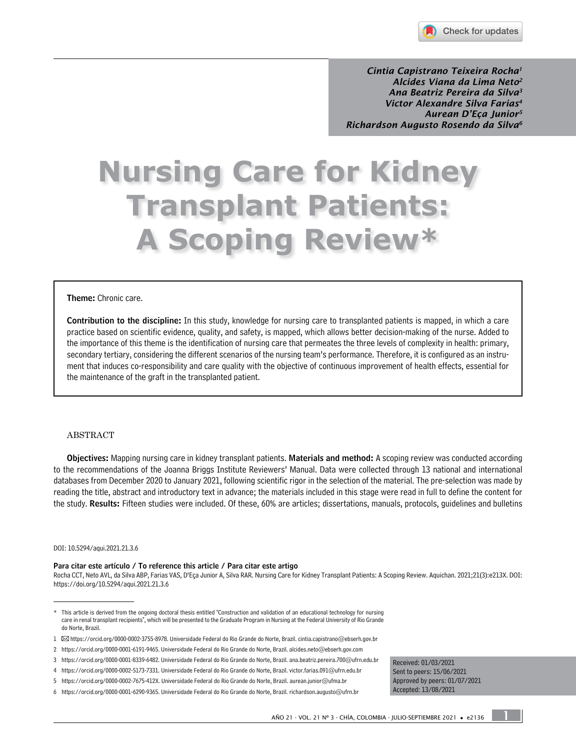

*Cintia Capistrano Teixeira Rocha1 Alcides Viana da Lima Neto2 Ana Beatriz Pereira da Silva3 Victor Alexandre Silva Farias4 Aurean D'Eça Junior5 Richardson Augusto Rosendo da Silva6*

# **Nursing Care for Kidney Transplant Patients: A Scoping Review\***

#### Theme: Chronic care.

Contribution to the discipline: In this study, knowledge for nursing care to transplanted patients is mapped, in which a care practice based on scientific evidence, quality, and safety, is mapped, which allows better decision-making of the nurse. Added to the importance of this theme is the identification of nursing care that permeates the three levels of complexity in health: primary, secondary tertiary, considering the different scenarios of the nursing team's performance. Therefore, it is configured as an instrument that induces co-responsibility and care quality with the objective of continuous improvement of health effects, essential for the maintenance of the graft in the transplanted patient.

#### ABSTRACT

Objectives: Mapping nursing care in kidney transplant patients. Materials and method: A scoping review was conducted according to the recommendations of the Joanna Briggs Institute Reviewers' Manual. Data were collected through 13 national and international databases from December 2020 to January 2021, following scientific rigor in the selection of the material. The pre-selection was made by reading the title, abstract and introductory text in advance; the materials included in this stage were read in full to define the content for the study. Results: Fifteen studies were included. Of these, 60% are articles; dissertations, manuals, protocols, guidelines and bulletins

#### DOI: [10.5294/aqui.2021.21.3.6](https://doi.org/10.5294/aqui.2021.21.3.6)

#### Para citar este artículo / To reference this article / Para citar este artigo

Rocha CCT, Neto AVL, da Silva ABP, Farias VAS, D'Eça Junior A, Silva RAR. Nursing Care for Kidney Transplant Patients: A Scoping Review. Aquichan. 2021;21(3):e213X. DOI: <https://doi.org/10.5294/aqui.2021.21.3.6>

Received: 01/03/2021 Sent to peers: 15/06/2021 Approved by peers: 01/07/2021 Accepted: 13/08/2021

### 1

<sup>\*</sup> This article is derived from the ongoing doctoral thesis entitled "Construction and validation of an educational technology for nursing care in renal transplant recipients", which will be presented to the Graduate Program in Nursing at the Federal University of Rio Grande do Norte, Brazil.

<sup>1</sup> [https://orcid.org/0000-0002-3755-8978.](https://orcid.org/0000-0002-3755-8978) Universidade Federal do Rio Grande do Norte, Brazil. [cintia.capistrano@ebserh.gov.br](mailto:cintia.capistrano@ebserh.gov.br)

<sup>2</sup> <https://orcid.org/0000-0001-6191-9465>. Universidade Federal do Rio Grande do Norte, Brazil. [alcides.neto@ebserh.gov.com](mailto:alcides.neto@ebserh.gov.com)

<sup>3</sup> <https://orcid.org/0000-0001-8339-6482>. Universidade Federal do Rio Grande do Norte, Brazil. [ana.beatriz.pereira.700@ufrn.edu.br](mailto:ana.beatriz.pereira.700@ufrn.edu.br)

<sup>4</sup> <https://orcid.org/0000-0002-5173-7331>. Universidade Federal do Rio Grande do Norte, Brazil. [victor.farias.091@ufrn.edu.br](mailto:victor.farias.091@ufrn.edu.br)

<sup>5</sup> [https://orcid.org/0000-0002-7675-412X.](https://orcid.org/0000-0002-7675-412X) Universidade Federal do Rio Grande do Norte, Brazil. [aurean.junior@ufma.br](mailto:aurean.junior@ufma.br)

<sup>6</sup> <https://orcid.org/0000-0001-6290-9365>. Universidade Federal do Rio Grande do Norte, Brazil. [richardson.augusto@ufrn.br](mailto:richardson.augusto@ufrn.br)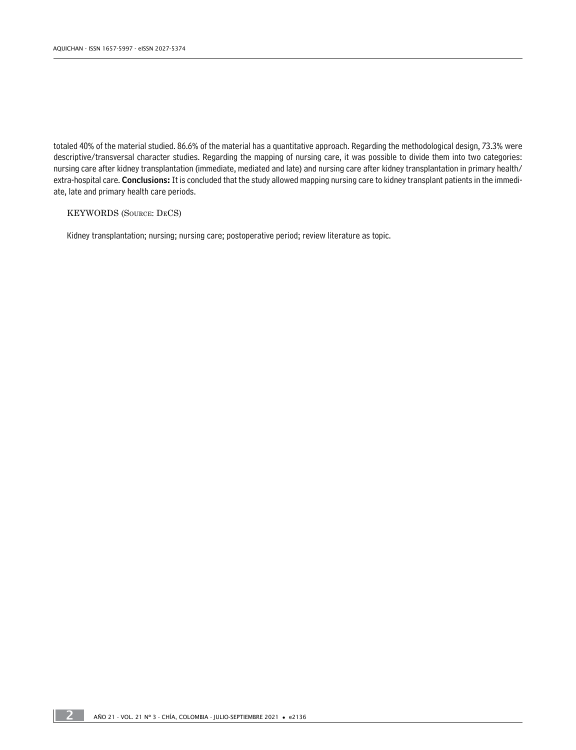totaled 40% of the material studied. 86.6% of the material has a quantitative approach. Regarding the methodological design, 73.3% were descriptive/transversal character studies. Regarding the mapping of nursing care, it was possible to divide them into two categories: nursing care after kidney transplantation (immediate, mediated and late) and nursing care after kidney transplantation in primary health/ extra-hospital care. Conclusions: It is concluded that the study allowed mapping nursing care to kidney transplant patients in the immediate, late and primary health care periods.

#### KEYWORDS (Source: DeCS)

Kidney transplantation; nursing; nursing care; postoperative period; review literature as topic.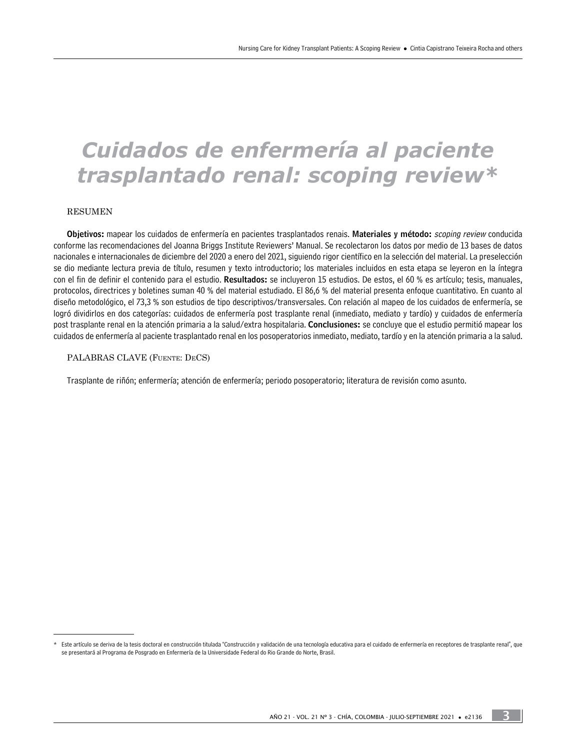# *Cuidados de enfermería al paciente trasplantado renal: scoping review\**

#### RESUMEN

Objetivos: mapear los cuidados de enfermería en pacientes trasplantados renais. Materiales y método: scoping review conducida conforme las recomendaciones del Joanna Briggs Institute Reviewers' Manual. Se recolectaron los datos por medio de 13 bases de datos nacionales e internacionales de diciembre del 2020 a enero del 2021, siguiendo rigor científico en la selección del material. La preselección se dio mediante lectura previa de título, resumen y texto introductorio; los materiales incluidos en esta etapa se leyeron en la íntegra con el fin de definir el contenido para el estudio. Resultados: se incluyeron 15 estudios. De estos, el 60 % es artículo; tesis, manuales, protocolos, directrices y boletines suman 40 % del material estudiado. El 86,6 % del material presenta enfoque cuantitativo. En cuanto al diseño metodológico, el 73,3 % son estudios de tipo descriptivos/transversales. Con relación al mapeo de los cuidados de enfermería, se logró dividirlos en dos categorías: cuidados de enfermería post trasplante renal (inmediato, mediato y tardío) y cuidados de enfermería post trasplante renal en la atención primaria a la salud/extra hospitalaria. Conclusiones: se concluye que el estudio permitió mapear los cuidados de enfermería al paciente trasplantado renal en los posoperatorios inmediato, mediato, tardío y en la atención primaria a la salud.

#### PALABRAS CLAVE (Fuente: DeCS)

Trasplante de riñón; enfermería; atención de enfermería; periodo posoperatorio; literatura de revisión como asunto.

3

<sup>\*</sup> Este artículo se deriva de la tesis doctoral en construcción titulada "Construcción y validación de una tecnología educativa para el cuidado de enfermería en receptores de trasplante renal", que se presentará al Programa de Posgrado en Enfermería de la Universidade Federal do Rio Grande do Norte, Brasil.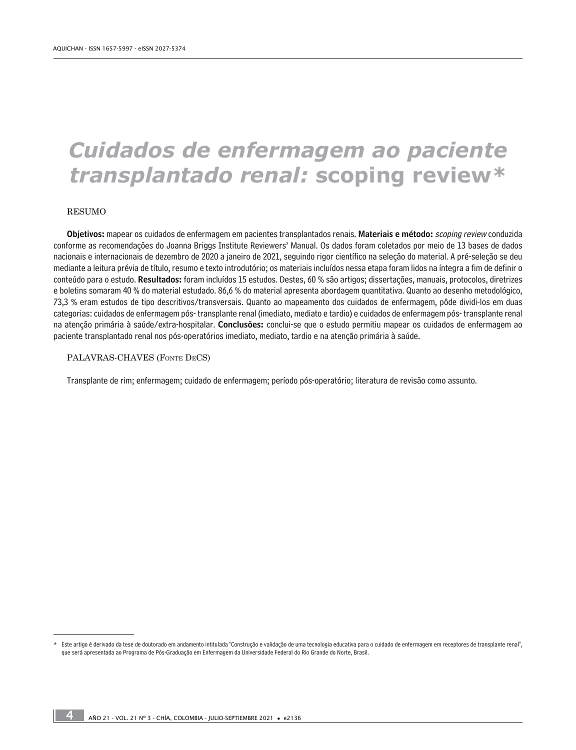# *Cuidados de enfermagem ao paciente transplantado renal:* **scoping review***\**

#### RESUMO

Objetivos: mapear os cuidados de enfermagem em pacientes transplantados renais. Materiais e método: scoping review conduzida conforme as recomendações do Joanna Briggs Institute Reviewers' Manual. Os dados foram coletados por meio de 13 bases de dados nacionais e internacionais de dezembro de 2020 a janeiro de 2021, seguindo rigor científico na seleção do material. A pré-seleção se deu mediante a leitura prévia de título, resumo e texto introdutório; os materiais incluídos nessa etapa foram lidos na íntegra a fim de definir o conteúdo para o estudo. Resultados: foram incluídos 15 estudos. Destes, 60 % são artigos; dissertações, manuais, protocolos, diretrizes e boletins somaram 40 % do material estudado. 86,6 % do material apresenta abordagem quantitativa. Quanto ao desenho metodológico, 73,3 % eram estudos de tipo descritivos/transversais. Quanto ao mapeamento dos cuidados de enfermagem, pôde dividi-los em duas categorias: cuidados de enfermagem pós- transplante renal (imediato, mediato e tardio) e cuidados de enfermagem pós- transplante renal na atenção primária à saúde/extra-hospitalar. Conclusões: conclui-se que o estudo permitiu mapear os cuidados de enfermagem ao paciente transplantado renal nos pós-operatórios imediato, mediato, tardio e na atenção primária à saúde.

#### PALAVRAS-CHAVES (Fonte DeCS)

Transplante de rim; enfermagem; cuidado de enfermagem; período pós-operatório; literatura de revisão como assunto.

<sup>\*</sup> Este artigo é derivado da tese de doutorado em andamento intitulada "Construção e validação de uma tecnologia educativa para o cuidado de enfermagem em receptores de transplante renal", que será apresentada ao Programa de Pós-Graduação em Enfermagem da Universidade Federal do Rio Grande do Norte, Brasil.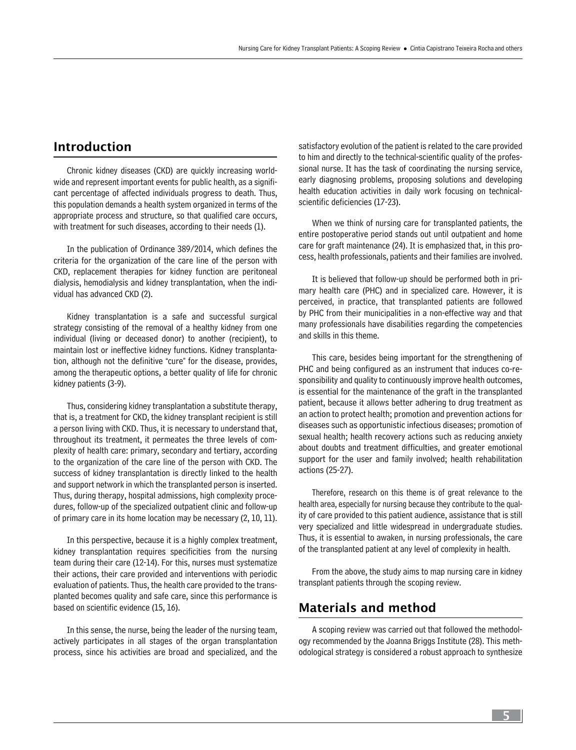# Introduction

Chronic kidney diseases (CKD) are quickly increasing worldwide and represent important events for public health, as a significant percentage of affected individuals progress to death. Thus, this population demands a health system organized in terms of the appropriate process and structure, so that qualified care occurs, with treatment for such diseases, according to their needs (1).

In the publication of Ordinance 389/2014, which defines the criteria for the organization of the care line of the person with CKD, replacement therapies for kidney function are peritoneal dialysis, hemodialysis and kidney transplantation, when the individual has advanced CKD (2).

Kidney transplantation is a safe and successful surgical strategy consisting of the removal of a healthy kidney from one individual (living or deceased donor) to another (recipient), to maintain lost or ineffective kidney functions. Kidney transplantation, although not the definitive "cure" for the disease, provides, among the therapeutic options, a better quality of life for chronic kidney patients (3-9).

Thus, considering kidney transplantation a substitute therapy, that is, a treatment for CKD, the kidney transplant recipient is still a person living with CKD. Thus, it is necessary to understand that, throughout its treatment, it permeates the three levels of complexity of health care: primary, secondary and tertiary, according to the organization of the care line of the person with CKD. The success of kidney transplantation is directly linked to the health and support network in which the transplanted person is inserted. Thus, during therapy, hospital admissions, high complexity procedures, follow-up of the specialized outpatient clinic and follow-up of primary care in its home location may be necessary (2, 10, 11).

In this perspective, because it is a highly complex treatment, kidney transplantation requires specificities from the nursing team during their care (12-14). For this, nurses must systematize their actions, their care provided and interventions with periodic evaluation of patients. Thus, the health care provided to the transplanted becomes quality and safe care, since this performance is based on scientific evidence (15, 16).

In this sense, the nurse, being the leader of the nursing team, actively participates in all stages of the organ transplantation process, since his activities are broad and specialized, and the satisfactory evolution of the patient is related to the care provided to him and directly to the technical-scientific quality of the professional nurse. It has the task of coordinating the nursing service, early diagnosing problems, proposing solutions and developing health education activities in daily work focusing on technicalscientific deficiencies (17-23).

When we think of nursing care for transplanted patients, the entire postoperative period stands out until outpatient and home care for graft maintenance (24). It is emphasized that, in this process, health professionals, patients and their families are involved.

It is believed that follow-up should be performed both in primary health care (PHC) and in specialized care. However, it is perceived, in practice, that transplanted patients are followed by PHC from their municipalities in a non-effective way and that many professionals have disabilities regarding the competencies and skills in this theme.

This care, besides being important for the strengthening of PHC and being configured as an instrument that induces co-responsibility and quality to continuously improve health outcomes, is essential for the maintenance of the graft in the transplanted patient, because it allows better adhering to drug treatment as an action to protect health; promotion and prevention actions for diseases such as opportunistic infectious diseases; promotion of sexual health; health recovery actions such as reducing anxiety about doubts and treatment difficulties, and greater emotional support for the user and family involved; health rehabilitation actions (25-27).

Therefore, research on this theme is of great relevance to the health area, especially for nursing because they contribute to the quality of care provided to this patient audience, assistance that is still very specialized and little widespread in undergraduate studies. Thus, it is essential to awaken, in nursing professionals, the care of the transplanted patient at any level of complexity in health.

From the above, the study aims to map nursing care in kidney transplant patients through the scoping review.

# Materials and method

A scoping review was carried out that followed the methodology recommended by the Joanna Briggs Institute (28). This methodological strategy is considered a robust approach to synthesize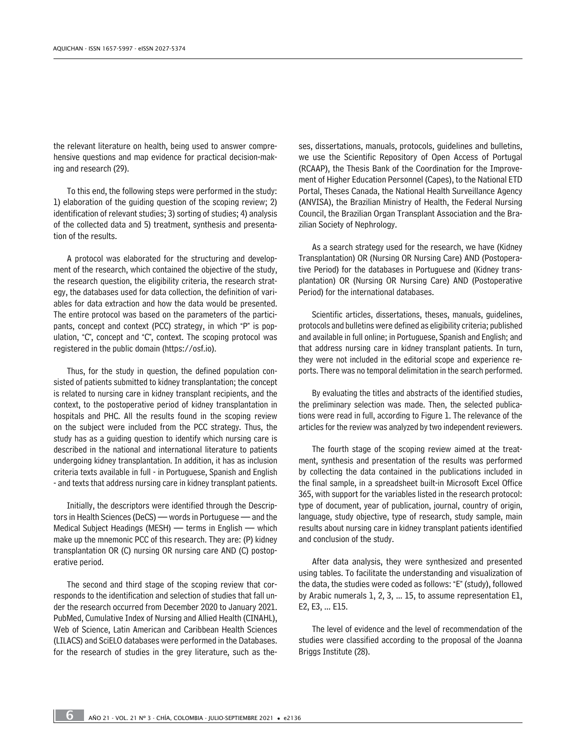the relevant literature on health, being used to answer comprehensive questions and map evidence for practical decision-making and research (29).

To this end, the following steps were performed in the study: 1) elaboration of the guiding question of the scoping review; 2) identification of relevant studies; 3) sorting of studies; 4) analysis of the collected data and 5) treatment, synthesis and presentation of the results.

A protocol was elaborated for the structuring and development of the research, which contained the objective of the study, the research question, the eligibility criteria, the research strategy, the databases used for data collection, the definition of variables for data extraction and how the data would be presented. The entire protocol was based on the parameters of the participants, concept and context (PCC) strategy, in which "P" is population, "C", concept and "C", context. The scoping protocol was registered in the public domain (https://osf.io).

Thus, for the study in question, the defined population consisted of patients submitted to kidney transplantation; the concept is related to nursing care in kidney transplant recipients, and the context, to the postoperative period of kidney transplantation in hospitals and PHC. All the results found in the scoping review on the subject were included from the PCC strategy. Thus, the study has as a guiding question to identify which nursing care is described in the national and international literature to patients undergoing kidney transplantation. In addition, it has as inclusion criteria texts available in full - in Portuguese, Spanish and English - and texts that address nursing care in kidney transplant patients.

Initially, the descriptors were identified through the Descriptors in Health Sciences (DeCS) — words in Portuguese — and the Medical Subject Headings (MESH) — terms in English — which make up the mnemonic PCC of this research. They are: (P) kidney transplantation OR (C) nursing OR nursing care AND (C) postoperative period.

The second and third stage of the scoping review that corresponds to the identification and selection of studies that fall under the research occurred from December 2020 to January 2021. PubMed, Cumulative Index of Nursing and Allied Health (CINAHL), Web of Science, Latin American and Caribbean Health Sciences (LILACS) and SciELO databases were performed in the Databases. for the research of studies in the grey literature, such as theses, dissertations, manuals, protocols, guidelines and bulletins, we use the Scientific Repository of Open Access of Portugal (RCAAP), the Thesis Bank of the Coordination for the Improvement of Higher Education Personnel (Capes), to the National ETD Portal, Theses Canada, the National Health Surveillance Agency (ANVISA), the Brazilian Ministry of Health, the Federal Nursing Council, the Brazilian Organ Transplant Association and the Brazilian Society of Nephrology.

As a search strategy used for the research, we have (Kidney Transplantation) OR (Nursing OR Nursing Care) AND (Postoperative Period) for the databases in Portuguese and (Kidney transplantation) OR (Nursing OR Nursing Care) AND (Postoperative Period) for the international databases.

Scientific articles, dissertations, theses, manuals, guidelines, protocols and bulletins were defined as eligibility criteria; published and available in full online; in Portuguese, Spanish and English; and that address nursing care in kidney transplant patients. In turn, they were not included in the editorial scope and experience reports. There was no temporal delimitation in the search performed.

By evaluating the titles and abstracts of the identified studies, the preliminary selection was made. Then, the selected publications were read in full, according to Figure 1. The relevance of the articles for the review was analyzed by two independent reviewers.

The fourth stage of the scoping review aimed at the treatment, synthesis and presentation of the results was performed by collecting the data contained in the publications included in the final sample, in a spreadsheet built-in Microsoft Excel Office 365, with support for the variables listed in the research protocol: type of document, year of publication, journal, country of origin, language, study objective, type of research, study sample, main results about nursing care in kidney transplant patients identified and conclusion of the study.

After data analysis, they were synthesized and presented using tables. To facilitate the understanding and visualization of the data, the studies were coded as follows: "E" (study), followed by Arabic numerals 1, 2, 3, ... 15, to assume representation E1, E2, E3, ... E15.

The level of evidence and the level of recommendation of the studies were classified according to the proposal of the Joanna Briggs Institute (28).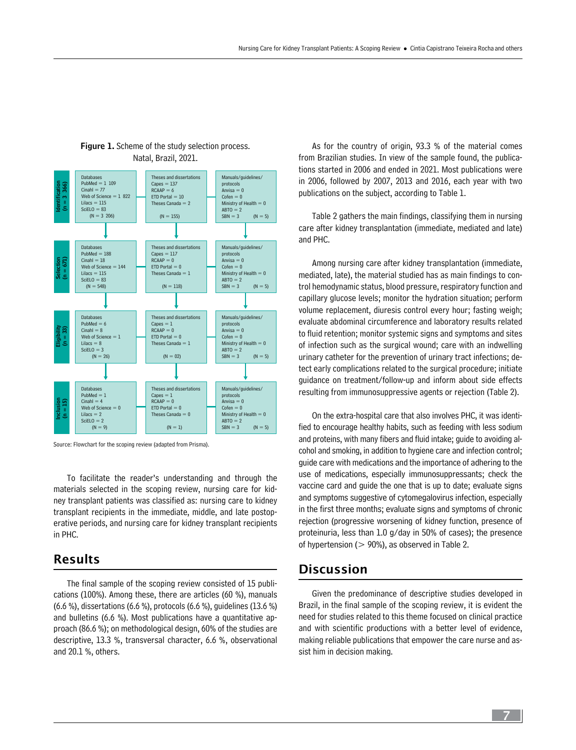

#### **Figure 1.** Scheme of the study selection process. Natal, Brazil, 2021.

Source: Flowchart for the scoping review (adapted from Prisma).

To facilitate the reader's understanding and through the materials selected in the scoping review, nursing care for kidney transplant patients was classified as: nursing care to kidney transplant recipients in the immediate, middle, and late postoperative periods, and nursing care for kidney transplant recipients in PHC.

### Results

The final sample of the scoping review consisted of 15 publications (100%). Among these, there are articles (60 %), manuals (6.6 %), dissertations (6.6 %), protocols (6.6 %), guidelines (13.6 %) and bulletins (6.6 %). Most publications have a quantitative approach (86.6 %); on methodological design, 60% of the studies are descriptive, 13.3 %, transversal character, 6.6 %, observational and 20.1 %, others.

As for the country of origin, 93.3 % of the material comes from Brazilian studies. In view of the sample found, the publications started in 2006 and ended in 2021. Most publications were in 2006, followed by 2007, 2013 and 2016, each year with two publications on the subject, according to Table 1.

Table 2 gathers the main findings, classifying them in nursing care after kidney transplantation (immediate, mediated and late) and PHC.

Among nursing care after kidney transplantation (immediate, mediated, late), the material studied has as main findings to control hemodynamic status, blood pressure, respiratory function and capillary glucose levels; monitor the hydration situation; perform volume replacement, diuresis control every hour; fasting weigh; evaluate abdominal circumference and laboratory results related to fluid retention; monitor systemic signs and symptoms and sites of infection such as the surgical wound; care with an indwelling urinary catheter for the prevention of urinary tract infections; detect early complications related to the surgical procedure; initiate guidance on treatment/follow-up and inform about side effects resulting from immunosuppressive agents or rejection (Table 2).

On the extra-hospital care that also involves PHC, it was identified to encourage healthy habits, such as feeding with less sodium and proteins, with many fibers and fluid intake; guide to avoiding alcohol and smoking, in addition to hygiene care and infection control; guide care with medications and the importance of adhering to the use of medications, especially immunosuppressants; check the vaccine card and guide the one that is up to date; evaluate signs and symptoms suggestive of cytomegalovirus infection, especially in the first three months; evaluate signs and symptoms of chronic rejection (progressive worsening of kidney function, presence of proteinuria, less than 1.0 g/day in 50% of cases); the presence of hypertension ( $> 90\%$ ), as observed in Table 2.

## **Discussion**

Given the predominance of descriptive studies developed in Brazil, in the final sample of the scoping review, it is evident the need for studies related to this theme focused on clinical practice and with scientific productions with a better level of evidence, making reliable publications that empower the care nurse and assist him in decision making.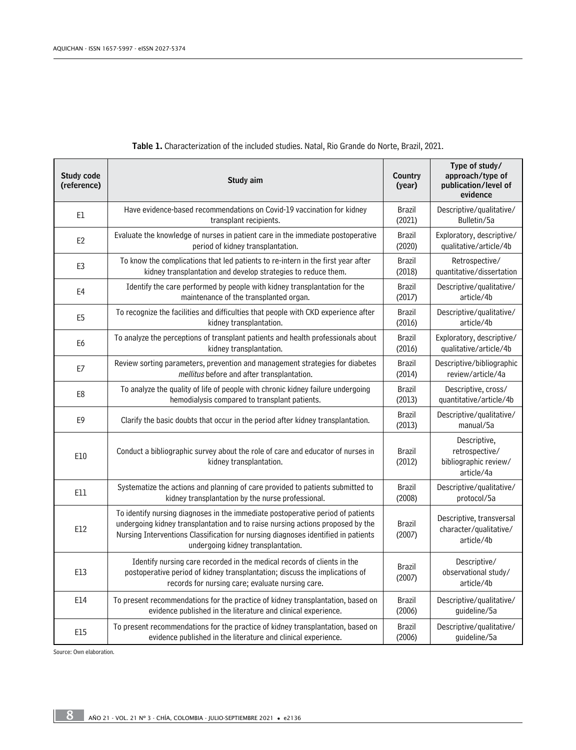| <b>Study code</b><br>(reference) | Study aim                                                                                                                                                                                                                                                                                    | Country<br>(year)       | Type of study/<br>approach/type of<br>publication/level of<br>evidence |
|----------------------------------|----------------------------------------------------------------------------------------------------------------------------------------------------------------------------------------------------------------------------------------------------------------------------------------------|-------------------------|------------------------------------------------------------------------|
| E1                               | Have evidence-based recommendations on Covid-19 vaccination for kidney                                                                                                                                                                                                                       | <b>Brazil</b>           | Descriptive/qualitative/                                               |
|                                  | transplant recipients.                                                                                                                                                                                                                                                                       | (2021)                  | Bulletin/5a                                                            |
| E <sub>2</sub>                   | Evaluate the knowledge of nurses in patient care in the immediate postoperative                                                                                                                                                                                                              | <b>Brazil</b>           | Exploratory, descriptive/                                              |
|                                  | period of kidney transplantation.                                                                                                                                                                                                                                                            | (2020)                  | qualitative/article/4b                                                 |
| E <sub>3</sub>                   | To know the complications that led patients to re-intern in the first year after                                                                                                                                                                                                             | <b>Brazil</b>           | Retrospective/                                                         |
|                                  | kidney transplantation and develop strategies to reduce them.                                                                                                                                                                                                                                | (2018)                  | quantitative/dissertation                                              |
| E4                               | Identify the care performed by people with kidney transplantation for the                                                                                                                                                                                                                    | <b>Brazil</b>           | Descriptive/qualitative/                                               |
|                                  | maintenance of the transplanted organ.                                                                                                                                                                                                                                                       | (2017)                  | article/4b                                                             |
| E <sub>5</sub>                   | To recognize the facilities and difficulties that people with CKD experience after                                                                                                                                                                                                           | <b>Brazil</b>           | Descriptive/qualitative/                                               |
|                                  | kidney transplantation.                                                                                                                                                                                                                                                                      | (2016)                  | article/4b                                                             |
| E6                               | To analyze the perceptions of transplant patients and health professionals about                                                                                                                                                                                                             | <b>Brazil</b>           | Exploratory, descriptive/                                              |
|                                  | kidney transplantation.                                                                                                                                                                                                                                                                      | (2016)                  | qualitative/article/4b                                                 |
| E7                               | Review sorting parameters, prevention and management strategies for diabetes                                                                                                                                                                                                                 | <b>Brazil</b>           | Descriptive/bibliographic                                              |
|                                  | mellitus before and after transplantation.                                                                                                                                                                                                                                                   | (2014)                  | review/article/4a                                                      |
| E8                               | To analyze the quality of life of people with chronic kidney failure undergoing                                                                                                                                                                                                              | <b>Brazil</b>           | Descriptive, cross/                                                    |
|                                  | hemodialysis compared to transplant patients.                                                                                                                                                                                                                                                | (2013)                  | quantitative/article/4b                                                |
| E <sub>9</sub>                   | Clarify the basic doubts that occur in the period after kidney transplantation.                                                                                                                                                                                                              | <b>Brazil</b><br>(2013) | Descriptive/qualitative/<br>manual/5a                                  |
| E10                              | Conduct a bibliographic survey about the role of care and educator of nurses in<br>kidney transplantation.                                                                                                                                                                                   | Brazil<br>(2012)        | Descriptive,<br>retrospective/<br>bibliographic review/<br>article/4a  |
| E11                              | Systematize the actions and planning of care provided to patients submitted to                                                                                                                                                                                                               | Brazil                  | Descriptive/qualitative/                                               |
|                                  | kidney transplantation by the nurse professional.                                                                                                                                                                                                                                            | (2008)                  | protocol/5a                                                            |
| E12                              | To identify nursing diagnoses in the immediate postoperative period of patients<br>undergoing kidney transplantation and to raise nursing actions proposed by the<br>Nursing Interventions Classification for nursing diagnoses identified in patients<br>undergoing kidney transplantation. | <b>Brazil</b><br>(2007) | Descriptive, transversal<br>character/qualitative/<br>article/4b       |
| E13                              | Identify nursing care recorded in the medical records of clients in the<br>postoperative period of kidney transplantation; discuss the implications of<br>records for nursing care; evaluate nursing care.                                                                                   | <b>Brazil</b><br>(2007) | Descriptive/<br>observational study/<br>article/4b                     |
| E14                              | To present recommendations for the practice of kidney transplantation, based on                                                                                                                                                                                                              | Brazil                  | Descriptive/qualitative/                                               |
|                                  | evidence published in the literature and clinical experience.                                                                                                                                                                                                                                | (2006)                  | guideline/5a                                                           |
| E15                              | To present recommendations for the practice of kidney transplantation, based on                                                                                                                                                                                                              | <b>Brazil</b>           | Descriptive/qualitative/                                               |
|                                  | evidence published in the literature and clinical experience.                                                                                                                                                                                                                                | (2006)                  | guideline/5a                                                           |

#### Table 1. Characterization of the included studies. Natal, Rio Grande do Norte, Brazil, 2021.

Source: Own elaboration.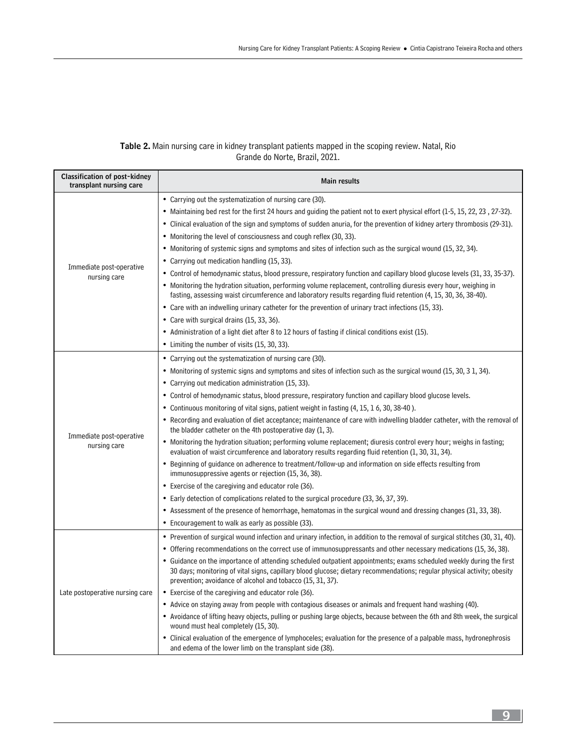#### Table 2. Main nursing care in kidney transplant patients mapped in the scoping review. Natal, Rio Grande do Norte, Brazil, 2021.

| <b>Classification of post-kidney</b><br>transplant nursing care | <b>Main results</b>                                                                                                                                                                                                                                                                                                                                                                                                                                                                                                                                                                                                                                                                                                                                                                                                                                                                                                                                                                                                                                                                                                                                                                                                                                                                                                                                                |
|-----------------------------------------------------------------|--------------------------------------------------------------------------------------------------------------------------------------------------------------------------------------------------------------------------------------------------------------------------------------------------------------------------------------------------------------------------------------------------------------------------------------------------------------------------------------------------------------------------------------------------------------------------------------------------------------------------------------------------------------------------------------------------------------------------------------------------------------------------------------------------------------------------------------------------------------------------------------------------------------------------------------------------------------------------------------------------------------------------------------------------------------------------------------------------------------------------------------------------------------------------------------------------------------------------------------------------------------------------------------------------------------------------------------------------------------------|
| Immediate post-operative<br>nursing care                        | • Carrying out the systematization of nursing care (30).<br>• Maintaining bed rest for the first 24 hours and guiding the patient not to exert physical effort (1-5, 15, 22, 23, 27-32).<br>• Clinical evaluation of the sign and symptoms of sudden anuria, for the prevention of kidney artery thrombosis (29-31).<br>• Monitoring the level of consciousness and cough reflex (30, 33).<br>• Monitoring of systemic signs and symptoms and sites of infection such as the surgical wound (15, 32, 34).<br>• Carrying out medication handling (15, 33).<br>• Control of hemodynamic status, blood pressure, respiratory function and capillary blood glucose levels (31, 33, 35-37).<br>• Monitoring the hydration situation, performing volume replacement, controlling diuresis every hour, weighing in<br>fasting, assessing waist circumference and laboratory results regarding fluid retention (4, 15, 30, 36, 38-40).<br>• Care with an indwelling urinary catheter for the prevention of urinary tract infections (15, 33).<br>• Care with surgical drains (15, 33, 36).<br>• Administration of a light diet after 8 to 12 hours of fasting if clinical conditions exist (15).<br>• Limiting the number of visits (15, 30, 33).                                                                                                                          |
| Immediate post-operative<br>nursing care                        | • Carrying out the systematization of nursing care (30).<br>• Monitoring of systemic signs and symptoms and sites of infection such as the surgical wound (15, 30, 31, 34).<br>• Carrying out medication administration (15, 33).<br>• Control of hemodynamic status, blood pressure, respiratory function and capillary blood glucose levels.<br>• Continuous monitoring of vital signs, patient weight in fasting (4, 15, 16, 30, 38-40).<br>• Recording and evaluation of diet acceptance; maintenance of care with indwelling bladder catheter, with the removal of<br>the bladder catheter on the 4th postoperative day (1, 3).<br>• Monitoring the hydration situation; performing volume replacement; diuresis control every hour; weighs in fasting;<br>evaluation of waist circumference and laboratory results regarding fluid retention (1, 30, 31, 34).<br>• Beginning of guidance on adherence to treatment/follow-up and information on side effects resulting from<br>immunosuppressive agents or rejection (15, 36, 38).<br>• Exercise of the caregiving and educator role (36).<br>• Early detection of complications related to the surgical procedure (33, 36, 37, 39).<br>• Assessment of the presence of hemorrhage, hematomas in the surgical wound and dressing changes (31, 33, 38).<br>• Encouragement to walk as early as possible (33). |
| Late postoperative nursing care                                 | • Prevention of surgical wound infection and urinary infection, in addition to the removal of surgical stitches (30, 31, 40).<br>• Offering recommendations on the correct use of immunosuppressants and other necessary medications (15, 36, 38).<br>• Guidance on the importance of attending scheduled outpatient appointments; exams scheduled weekly during the first<br>30 days; monitoring of vital signs, capillary blood glucose; dietary recommendations; regular physical activity; obesity<br>prevention; avoidance of alcohol and tobacco (15, 31, 37).<br>• Exercise of the caregiving and educator role (36).<br>• Advice on staying away from people with contagious diseases or animals and frequent hand washing (40).<br>• Avoidance of lifting heavy objects, pulling or pushing large objects, because between the 6th and 8th week, the surgical<br>wound must heal completely (15, 30).<br>• Clinical evaluation of the emergence of lymphoceles; evaluation for the presence of a palpable mass, hydronephrosis<br>and edema of the lower limb on the transplant side (38).                                                                                                                                                                                                                                                                |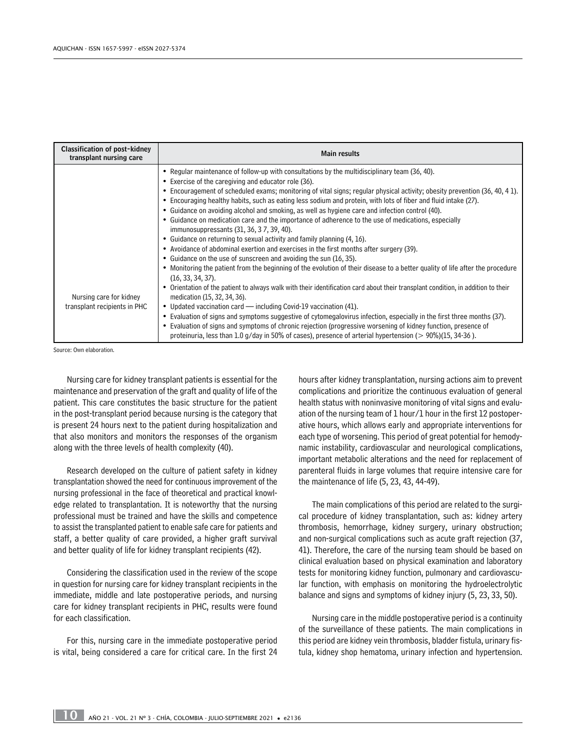| <b>Classification of post-kidney</b><br>transplant nursing care | Main results                                                                                                                                                                                                                                                                                                                                                                                                                                                                                                                                                                                                                                                                                                                                                                                                                                                                                                                                                                                                                                                                                                                                                                                                                        |
|-----------------------------------------------------------------|-------------------------------------------------------------------------------------------------------------------------------------------------------------------------------------------------------------------------------------------------------------------------------------------------------------------------------------------------------------------------------------------------------------------------------------------------------------------------------------------------------------------------------------------------------------------------------------------------------------------------------------------------------------------------------------------------------------------------------------------------------------------------------------------------------------------------------------------------------------------------------------------------------------------------------------------------------------------------------------------------------------------------------------------------------------------------------------------------------------------------------------------------------------------------------------------------------------------------------------|
| Nursing care for kidney                                         | • Regular maintenance of follow-up with consultations by the multidisciplinary team (36, 40).<br>• Exercise of the caregiving and educator role (36).<br>• Encouragement of scheduled exams; monitoring of vital signs; regular physical activity; obesity prevention (36, 40, 41).<br>• Encouraging healthy habits, such as eating less sodium and protein, with lots of fiber and fluid intake (27).<br>• Guidance on avoiding alcohol and smoking, as well as hygiene care and infection control (40).<br>• Guidance on medication care and the importance of adherence to the use of medications, especially<br>immunosuppressants (31, 36, 37, 39, 40).<br>• Guidance on returning to sexual activity and family planning (4, 16).<br>• Avoidance of abdominal exertion and exercises in the first months after surgery (39).<br>• Guidance on the use of sunscreen and avoiding the sun (16, 35).<br>• Monitoring the patient from the beginning of the evolution of their disease to a better quality of life after the procedure<br>$(16, 33, 34, 37)$ .<br>Orientation of the patient to always walk with their identification card about their transplant condition, in addition to their<br>medication (15, 32, 34, 36). |
| transplant recipients in PHC                                    | • Updated vaccination card — including Covid-19 vaccination (41).                                                                                                                                                                                                                                                                                                                                                                                                                                                                                                                                                                                                                                                                                                                                                                                                                                                                                                                                                                                                                                                                                                                                                                   |
|                                                                 | • Evaluation of signs and symptoms suggestive of cytomegalovirus infection, especially in the first three months (37).<br>• Evaluation of signs and symptoms of chronic rejection (progressive worsening of kidney function, presence of<br>proteinuria, less than 1.0 g/day in 50% of cases), presence of arterial hypertension ( $> 90\%$ )(15, 34-36).                                                                                                                                                                                                                                                                                                                                                                                                                                                                                                                                                                                                                                                                                                                                                                                                                                                                           |

Source: Own elaboration.

Nursing care for kidney transplant patients is essential for the maintenance and preservation of the graft and quality of life of the patient. This care constitutes the basic structure for the patient in the post-transplant period because nursing is the category that is present 24 hours next to the patient during hospitalization and that also monitors and monitors the responses of the organism along with the three levels of health complexity (40).

Research developed on the culture of patient safety in kidney transplantation showed the need for continuous improvement of the nursing professional in the face of theoretical and practical knowledge related to transplantation. It is noteworthy that the nursing professional must be trained and have the skills and competence to assist the transplanted patient to enable safe care for patients and staff, a better quality of care provided, a higher graft survival and better quality of life for kidney transplant recipients (42).

Considering the classification used in the review of the scope in question for nursing care for kidney transplant recipients in the immediate, middle and late postoperative periods, and nursing care for kidney transplant recipients in PHC, results were found for each classification.

For this, nursing care in the immediate postoperative period is vital, being considered a care for critical care. In the first 24

hours after kidney transplantation, nursing actions aim to prevent complications and prioritize the continuous evaluation of general health status with noninvasive monitoring of vital signs and evaluation of the nursing team of 1 hour/1 hour in the first 12 postoperative hours, which allows early and appropriate interventions for each type of worsening. This period of great potential for hemodynamic instability, cardiovascular and neurological complications, important metabolic alterations and the need for replacement of parenteral fluids in large volumes that require intensive care for the maintenance of life (5, 23, 43, 44-49).

The main complications of this period are related to the surgical procedure of kidney transplantation, such as: kidney artery thrombosis, hemorrhage, kidney surgery, urinary obstruction; and non-surgical complications such as acute graft rejection (37, 41). Therefore, the care of the nursing team should be based on clinical evaluation based on physical examination and laboratory tests for monitoring kidney function, pulmonary and cardiovascular function, with emphasis on monitoring the hydroelectrolytic balance and signs and symptoms of kidney injury (5, 23, 33, 50).

Nursing care in the middle postoperative period is a continuity of the surveillance of these patients. The main complications in this period are kidney vein thrombosis, bladder fistula, urinary fistula, kidney shop hematoma, urinary infection and hypertension.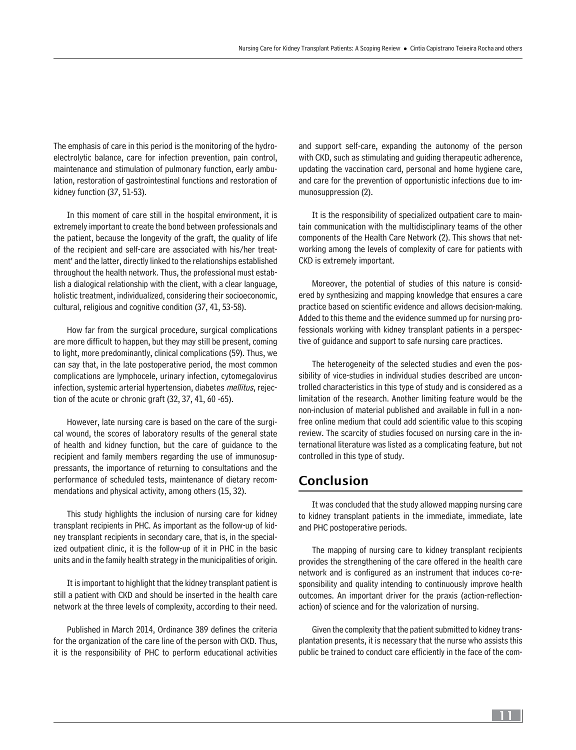The emphasis of care in this period is the monitoring of the hydroelectrolytic balance, care for infection prevention, pain control, maintenance and stimulation of pulmonary function, early ambulation, restoration of gastrointestinal functions and restoration of kidney function (37, 51-53).

In this moment of care still in the hospital environment, it is extremely important to create the bond between professionals and the patient, because the longevity of the graft, the quality of life of the recipient and self-care are associated with his/her treatment' and the latter, directly linked to the relationships established throughout the health network. Thus, the professional must establish a dialogical relationship with the client, with a clear language, holistic treatment, individualized, considering their socioeconomic, cultural, religious and cognitive condition (37, 41, 53-58).

How far from the surgical procedure, surgical complications are more difficult to happen, but they may still be present, coming to light, more predominantly, clinical complications (59). Thus, we can say that, in the late postoperative period, the most common complications are lymphocele, urinary infection, cytomegalovirus infection, systemic arterial hypertension, diabetes mellitus, rejection of the acute or chronic graft (32, 37, 41, 60 -65).

However, late nursing care is based on the care of the surgical wound, the scores of laboratory results of the general state of health and kidney function, but the care of guidance to the recipient and family members regarding the use of immunosuppressants, the importance of returning to consultations and the performance of scheduled tests, maintenance of dietary recommendations and physical activity, among others (15, 32).

This study highlights the inclusion of nursing care for kidney transplant recipients in PHC. As important as the follow-up of kidney transplant recipients in secondary care, that is, in the specialized outpatient clinic, it is the follow-up of it in PHC in the basic units and in the family health strategy in the municipalities of origin.

It is important to highlight that the kidney transplant patient is still a patient with CKD and should be inserted in the health care network at the three levels of complexity, according to their need.

Published in March 2014, Ordinance 389 defines the criteria for the organization of the care line of the person with CKD. Thus, it is the responsibility of PHC to perform educational activities

and support self-care, expanding the autonomy of the person with CKD, such as stimulating and guiding therapeutic adherence, updating the vaccination card, personal and home hygiene care, and care for the prevention of opportunistic infections due to immunosuppression (2).

It is the responsibility of specialized outpatient care to maintain communication with the multidisciplinary teams of the other components of the Health Care Network (2). This shows that networking among the levels of complexity of care for patients with CKD is extremely important.

Moreover, the potential of studies of this nature is considered by synthesizing and mapping knowledge that ensures a care practice based on scientific evidence and allows decision-making. Added to this theme and the evidence summed up for nursing professionals working with kidney transplant patients in a perspective of guidance and support to safe nursing care practices.

The heterogeneity of the selected studies and even the possibility of vice-studies in individual studies described are uncontrolled characteristics in this type of study and is considered as a limitation of the research. Another limiting feature would be the non-inclusion of material published and available in full in a nonfree online medium that could add scientific value to this scoping review. The scarcity of studies focused on nursing care in the international literature was listed as a complicating feature, but not controlled in this type of study.

# Conclusion

It was concluded that the study allowed mapping nursing care to kidney transplant patients in the immediate, immediate, late and PHC postoperative periods.

The mapping of nursing care to kidney transplant recipients provides the strengthening of the care offered in the health care network and is configured as an instrument that induces co-responsibility and quality intending to continuously improve health outcomes. An important driver for the praxis (action-reflectionaction) of science and for the valorization of nursing.

Given the complexity that the patient submitted to kidney transplantation presents, it is necessary that the nurse who assists this public be trained to conduct care efficiently in the face of the com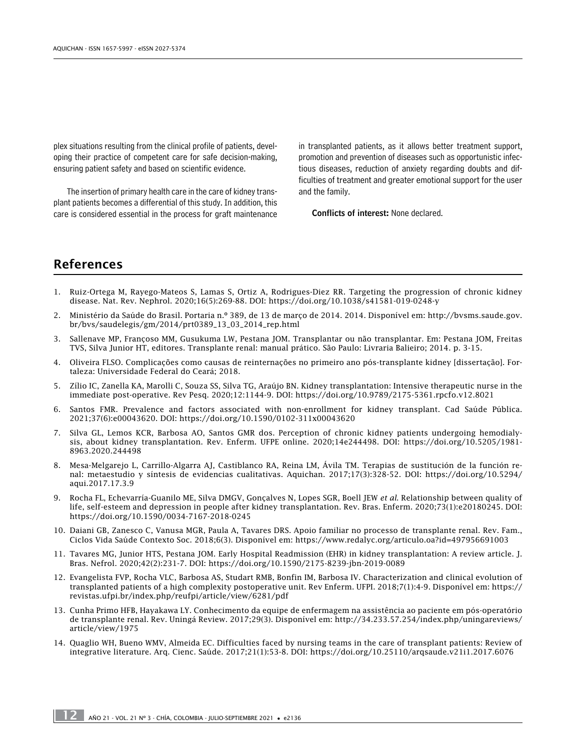plex situations resulting from the clinical profile of patients, developing their practice of competent care for safe decision-making, ensuring patient safety and based on scientific evidence.

The insertion of primary health care in the care of kidney transplant patients becomes a differential of this study. In addition, this care is considered essential in the process for graft maintenance in transplanted patients, as it allows better treatment support, promotion and prevention of diseases such as opportunistic infectious diseases, reduction of anxiety regarding doubts and difficulties of treatment and greater emotional support for the user and the family.

Conflicts of interest: None declared.

# References

- 1. Ruiz-Ortega M, Rayego-Mateos S, Lamas S, Ortiz A, Rodrigues-Diez RR. Targeting the progression of chronic kidney disease. Nat. Rev. Nephrol. 2020;16(5):269-88. DOI: [https://doi.org/10.1038/s41581-019-0248-y](about:blank)
- 2. Ministério da Saúde do Brasil. Portaria n.º 389, de 13 de março de 2014. 2014. Disponível em: [http://bvsms.saude.gov.](http://bvsms.saude.gov.br/bvs/saudelegis/gm/2014/prt0389_13_03_2014_rep.html) [br/bvs/saudelegis/gm/2014/prt0389\\_13\\_03\\_2014\\_rep.html](http://bvsms.saude.gov.br/bvs/saudelegis/gm/2014/prt0389_13_03_2014_rep.html)
- 3. Sallenave MP, Françoso MM, Gusukuma LW, Pestana JOM. Transplantar ou não transplantar. Em: Pestana JOM, Freitas TVS, Silva Junior HT, editores. Transplante renal: manual prático. São Paulo: Livraria Balieiro; 2014. p. 3-15.
- 4. Oliveira FLSO. Complicações como causas de reinternações no primeiro ano pós-transplante kidney [dissertação]. Fortaleza: Universidade Federal do Ceará; 2018.
- 5. Zílio IC, Zanella KA, Marolli C, Souza SS, Silva TG, Araújo BN. Kidney transplantation: Intensive therapeutic nurse in the immediate post-operative. Rev Pesq. 2020;12:1144-9. DOI: <https://doi.org/10.9789/2175-5361.rpcfo.v12.8021>
- 6. Santos FMR. Prevalence and factors associated with non-enrollment for kidney transplant. Cad Saúde Pública. 2021;37(6):e00043620. DOI: <https://doi.org/10.1590/0102-311x00043620>
- 7. Silva GL, Lemos KCR, Barbosa AO, Santos GMR dos. Perception of chronic kidney patients undergoing hemodialysis, about kidney transplantation. Rev. Enferm. UFPE online. 2020;14e244498. DOI: [https://doi.org/10.5205/1981-](https://doi.org/10.5205/1981-8963.2020.244498) [8963.2020.244498](https://doi.org/10.5205/1981-8963.2020.244498)
- 8. Mesa-Melgarejo L, Carrillo-Algarra AJ, Castiblanco RA, Reina LM, Ávila TM. Terapias de sustitución de la función renal: metaestudio y síntesis de evidencias cualitativas. Aquichan. 2017;17(3):328-52. DOI: [https://doi.org/10.5294/](https://doi.org/10.5294/aqui.2017.17.3.9) [aqui.2017.17.3.9](https://doi.org/10.5294/aqui.2017.17.3.9)
- 9. Rocha FL, Echevarría-Guanilo ME, Silva DMGV, Gonçalves N, Lopes SGR, Boell JEW *et al*. Relationship between quality of life, self-esteem and depression in people after kidney transplantation. Rev. Bras. Enferm. 2020;73(1):e20180245. DOI: <https://doi.org/10.1590/0034-7167-2018-0245>
- 10. Daiani GB, Zanesco C, Vanusa MGR, Paula A, Tavares DRS. Apoio familiar no processo de transplante renal. Rev. Fam., Ciclos Vida Saúde Contexto Soc. 2018;6(3). Disponível em: <https://www.redalyc.org/articulo.oa?id=497956691003>
- 11. Tavares MG, Junior HTS, Pestana JOM. Early Hospital Readmission (EHR) in kidney transplantation: A review article. J. Bras. Nefrol. 2020;42(2):231-7. DOI: <https://doi.org/10.1590/2175-8239-jbn-2019-0089>
- 12. Evangelista FVP, Rocha VLC, Barbosa AS, Studart RMB, Bonfin IM, Barbosa IV. Characterization and clinical evolution of transplanted patients of a high complexity postoperative unit. Rev Enferm. UFPI. 2018;7(1):4-9. Disponível em: [https://](https://revistas.ufpi.br/index.php/reufpi/article/view/6281/pdf) [revistas.ufpi.br/index.php/reufpi/article/view/6281/pdf](https://revistas.ufpi.br/index.php/reufpi/article/view/6281/pdf)
- 13. Cunha Primo HFB, Hayakawa LY. Conhecimento da equipe de enfermagem na assistência ao paciente em pós-operatório de transplante renal. Rev. Uningá Review. 2017;29(3). Disponível em: [http://34.233.57.254/index.php/uningareviews/](http://34.233.57.254/index.php/uningareviews/article/view/1975) [article/view/1975](http://34.233.57.254/index.php/uningareviews/article/view/1975)
- 14. Quaglio WH, Bueno WMV, Almeida EC. Difficulties faced by nursing teams in the care of transplant patients: Review of integrative literature. Arq. Cienc. Saúde. 2017;21(1):53-8. DOI:<https://doi.org/10.25110/arqsaude.v21i1.2017.6076>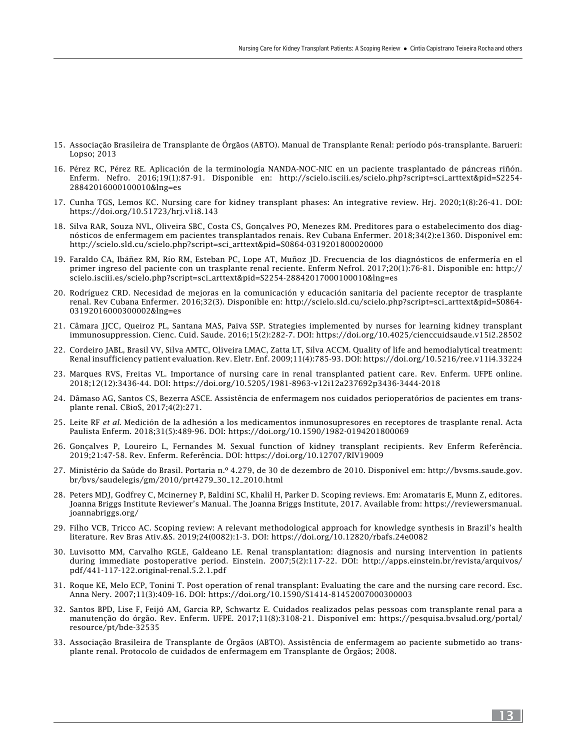- 15. Associação Brasileira de Transplante de Órgãos (ABTO). Manual de Transplante Renal: período pós-transplante. Barueri: Lopso; 2013
- 16. Pérez RC, Pérez RE. Aplicación de la terminología NANDA-NOC-NIC en un paciente trasplantado de páncreas riñón. Enferm. Nefro. 2016;19(1):87-91. Disponible en: [http://scielo.isciii.es/scielo.php?script=sci\\_arttext&pid=S2254-](http://scielo.isciii.es/scielo.php?script=sci_arttext&pid=S2254-28842016000100010&lng=es) [28842016000100010&lng=es](http://scielo.isciii.es/scielo.php?script=sci_arttext&pid=S2254-28842016000100010&lng=es)
- 17. Cunha TGS, Lemos KC. Nursing care for kidney transplant phases: An integrative review. Hrj. 2020;1(8):26-41. DOI: <https://doi.org/10.51723/hrj.v1i8.143>
- 18. Silva RAR, Souza NVL, Oliveira SBC, Costa CS, Gonçalves PO, Menezes RM. Preditores para o estabelecimento dos diagnósticos de enfermagem em pacientes transplantados renais. Rev Cubana Enfermer. 2018;34(2):e1360. Disponível em: [http://scielo.sld.cu/scielo.php?script=sci\\_arttext&pid=S0864-0319201800020000](http://scielo.sld.cu/scielo.php?script=sci_arttext&pid=S0864-0319201800020000)
- 19. Faraldo CA, Ibáñez RM, Río RM, Esteban PC, Lope AT, Muñoz JD. Frecuencia de los diagnósticos de enfermería en el primer ingreso del paciente con un trasplante renal reciente. Enferm Nefrol. 2017;20(1):76-81. Disponible en: [http://](http://scielo.isciii.es/scielo.php?script=sci_arttext&pid=S2254-28842017000100010&lng=es) [scielo.isciii.es/scielo.php?script=sci\\_arttext&pid=S2254-28842017000100010&lng=es](http://scielo.isciii.es/scielo.php?script=sci_arttext&pid=S2254-28842017000100010&lng=es)
- 20. Rodríguez CRD. Necesidad de mejoras en la comunicación y educación sanitaria del paciente receptor de trasplante renal. Rev Cubana Enfermer. 2016;32(3). Disponible en: [http://scielo.sld.cu/scielo.php?script=sci\\_arttext&pid=S0864-](http://scielo.sld.cu/scielo.php?script=sci_arttext&pid=S0864-03192016000300002&lng=es) [03192016000300002&lng=es](http://scielo.sld.cu/scielo.php?script=sci_arttext&pid=S0864-03192016000300002&lng=es)
- 21. Câmara JJCC, Queiroz PL, Santana MAS, Paiva SSP. Strategies implemented by nurses for learning kidney transplant immunosuppression. Cienc. Cuid. Saude. 2016;15(2):282-7. DOI:<https://doi.org/10.4025/cienccuidsaude.v15i2.28502>
- 22. Cordeiro JABL, Brasil VV, Silva AMTC, Oliveira LMAC, Zatta LT, Silva ACCM. Quality of life and hemodialytical treatment: Renal insufficiency patient evaluation. Rev. Eletr. Enf. 2009;11(4):785-93. DOI:<https://doi.org/10.5216/ree.v11i4.33224>
- 23. Marques RVS, Freitas VL. Importance of nursing care in renal transplanted patient care. Rev. Enferm. UFPE online. 2018;12(12):3436-44. DOI:<https://doi.org/10.5205/1981-8963-v12i12a237692p3436-3444-2018>
- 24. Dâmaso AG, Santos CS, Bezerra ASCE. Assistência de enfermagem nos cuidados perioperatórios de pacientes em transplante renal. CBioS, 2017;4(2):271.
- 25. Leite RF *et al*. Medición de la adhesión a los medicamentos inmunosupresores en receptores de trasplante renal. Acta Paulista Enferm. 2018;31(5):489-96. DOI: <https://doi.org/10.1590/1982-0194201800069>
- 26. Gonçalves P, Loureiro L, Fernandes M. Sexual function of kidney transplant recipients. Rev Enferm Referência. 2019;21:47-58. Rev. Enferm. Referência. DOI:<https://doi.org/10.12707/RIV19009>
- 27. Ministério da Saúde do Brasil. Portaria n.º 4.279, de 30 de dezembro de 2010. Disponível em: [http://bvsms.saude.gov.](http://bvsms.saude.gov.br/bvs/saudelegis/gm/2010/prt4279_30_12_2010.html) [br/bvs/saudelegis/gm/2010/prt4279\\_30\\_12\\_2010.html](http://bvsms.saude.gov.br/bvs/saudelegis/gm/2010/prt4279_30_12_2010.html)
- 28. Peters MDJ, Godfrey C, Mcinerney P, Baldini SC, Khalil H, Parker D. Scoping reviews. Em: Aromataris E, Munn Z, editores. Joanna Briggs Institute Reviewer's Manual. The Joanna Briggs Institute, 2017. Available from: [https://reviewersmanual.](https://reviewersmanual.joannabriggs.org/) [joannabriggs.org/](https://reviewersmanual.joannabriggs.org/)
- 29. Filho VCB, Tricco AC. Scoping review: A relevant methodological approach for knowledge synthesis in Brazil's health literature. Rev Bras Ativ.&S. 2019;24(0082):1-3. DOI:<https://doi.org/10.12820/rbafs.24e0082>
- 30. Luvisotto MM, Carvalho RGLE, Galdeano LE. Renal transplantation: diagnosis and nursing intervention in patients during immediate postoperative period. Einstein. 2007;5(2):117-22. DOI: [http://apps.einstein.br/revista/arquivos/](http://apps.einstein.br/revista/arquivos/pdf/441-117-122.original-renal.5.2.1.pdf) [pdf/441-117-122.original-renal.5.2.1.pdf](http://apps.einstein.br/revista/arquivos/pdf/441-117-122.original-renal.5.2.1.pdf)
- 31. Roque KE, Melo ECP, Tonini T. Post operation of renal transplant: Evaluating the care and the nursing care record. Esc. Anna Nery. 2007;11(3):409-16. DOI:<https://doi.org/10.1590/S1414-81452007000300003>
- 32. Santos BPD, Lise F, Feijó AM, Garcia RP, Schwartz E. Cuidados realizados pelas pessoas com transplante renal para a manutenção do órgão. Rev. Enferm. UFPE. 2017;11(8):3108-21. Disponível em: [https://pesquisa.bvsalud.org/portal/](https://pesquisa.bvsalud.org/portal/resource/pt/bde-32535) [resource/pt/bde-32535](https://pesquisa.bvsalud.org/portal/resource/pt/bde-32535)
- 33. Associação Brasileira de Transplante de Órgãos (ABTO). Assistência de enfermagem ao paciente submetido ao transplante renal. Protocolo de cuidados de enfermagem em Transplante de Órgãos; 2008.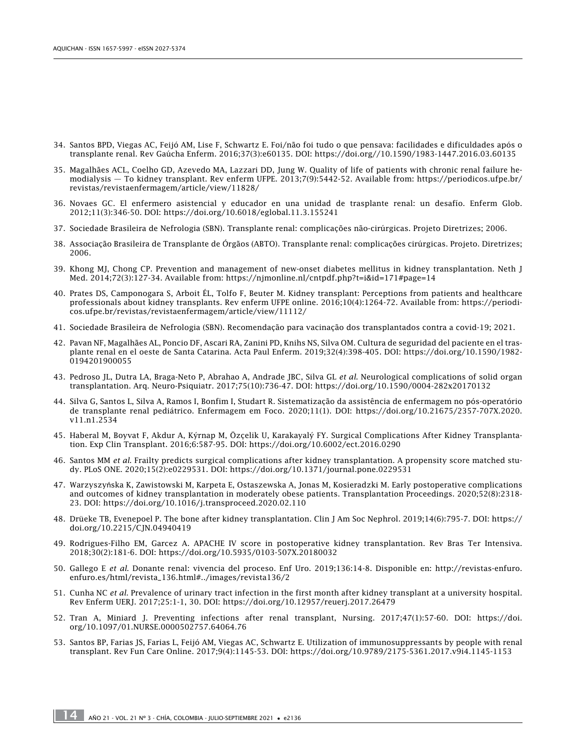- 34. Santos BPD, Viegas AC, Feijó AM, Lise F, Schwartz E. Foi/não foi tudo o que pensava: facilidades e dificuldades após o transplante renal. Rev Gaúcha Enferm. 2016;37(3):e60135. DOI: <https://doi.org//10.1590/1983-1447.2016.03.60135>
- 35. Magalhães ACL, Coelho GD, Azevedo MA, Lazzari DD, Jung W. Quality of life of patients with chronic renal failure hemodialysis — To kidney transplant. Rev enferm UFPE. 2013;7(9):5442-52. Available from: [https://periodicos.ufpe.br/](https://periodicos.ufpe.br/revistas/revistaenfermagem/article/view/11828/) [revistas/revistaenfermagem/article/view/11828/](https://periodicos.ufpe.br/revistas/revistaenfermagem/article/view/11828/)
- 36. Novaes GC. El enfermero asistencial y educador en una unidad de trasplante renal: un desafío. Enferm Glob. 2012;11(3):346-50. DOI: https://doi.org/10.6018/eglobal.11.3.155241
- 37. Sociedade Brasileira de Nefrologia (SBN). Transplante renal: complicações não-cirúrgicas. Projeto Diretrizes; 2006.
- 38. Associação Brasileira de Transplante de Órgãos (ABTO). Transplante renal: complicações cirúrgicas. Projeto. Diretrizes; 2006.
- 39. Khong MJ, Chong CP. Prevention and management of new-onset diabetes mellitus in kidney transplantation. Neth J Med. 2014;72(3):127-34. Available from: https://njmonline.nl/cntpdf.php?t=i&id=171#page=14
- 40. Prates DS, Camponogara S, Arboit ÉL, Tolfo F, Beuter M. Kidney transplant: Perceptions from patients and healthcare professionals about kidney transplants. Rev enferm UFPE online. 2016;10(4):1264-72. Available from: [https://periodi](https://periodicos.ufpe.br/revistas/revistaenfermagem/article/view/11112/)[cos.ufpe.br/revistas/revistaenfermagem/article/view/11112/](https://periodicos.ufpe.br/revistas/revistaenfermagem/article/view/11112/)
- 41. Sociedade Brasileira de Nefrologia (SBN). Recomendação para vacinação dos transplantados contra a covid-19; 2021.
- 42. Pavan NF, Magalhães AL, Poncio DF, Ascari RA, Zanini PD, Knihs NS, Silva OM. Cultura de seguridad del paciente en el trasplante renal en el oeste de Santa Catarina. Acta Paul Enferm. 2019;32(4):398-405. DOI: [https://doi.org/10.1590/1982-](https://doi.org/10.1590/1982-0194201900055) [0194201900055](https://doi.org/10.1590/1982-0194201900055)
- 43. Pedroso JL, Dutra LA, Braga-Neto P, Abrahao A, Andrade JBC, Silva GL *et al*. Neurological complications of solid organ transplantation. Arq. Neuro-Psiquiatr. 2017;75(10):736-47. DOI: <https://doi.org/10.1590/0004-282x20170132>
- 44. Silva G, Santos L, Silva A, Ramos I, Bonfim I, Studart R. Sistematização da assistência de enfermagem no pós-operatório de transplante renal pediátrico. Enfermagem em Foco. 2020;11(1). DOI: [https://doi.org/10.21675/2357-707X.2020.](https://doi.org/10.21675/2357-707X.2020.v11.n1.2534) [v11.n1.2534](https://doi.org/10.21675/2357-707X.2020.v11.n1.2534)
- 45. Haberal M, Boyvat F, Akdur A, Kýrnap M, Özçelik U, Karakayalý FY. Surgical Complications After Kidney Transplantation. Exp Clin Transplant. 2016;6:587-95. DOI: <https://doi.org/10.6002/ect.2016.0290>
- 46. Santos MM *et al*. Frailty predicts surgical complications after kidney transplantation. A propensity score matched study. PLoS ONE. 2020;15(2):e0229531. DOI:<https://doi.org/10.1371/journal.pone.0229531>
- 47. Warzyszyńska K, Zawistowski M, Karpeta E, Ostaszewska A, Jonas M, Kosieradzki M. Early postoperative complications and outcomes of kidney transplantation in moderately obese patients. Transplantation Proceedings. 2020;52(8):2318- 23. DOI:<https://doi.org/10.1016/j.transproceed.2020.02.110>
- 48. Drüeke TB, Evenepoel P. The bone after kidney transplantation. Clin J Am Soc Nephrol. 2019;14(6):795-7. DOI: [https://](https://doi.org/10.2215/CJN.04940419) [doi.org/10.2215/CJN.04940419](https://doi.org/10.2215/CJN.04940419)
- 49. Rodrigues-Filho EM, Garcez A. APACHE IV score in postoperative kidney transplantation. Rev Bras Ter Intensiva. 2018;30(2):181-6. DOI: <https://doi.org/10.5935/0103-507X.20180032>
- 50. Gallego E *et al*. Donante renal: vivencia del proceso. Enf Uro. 2019;136:14-8. Disponible en: [http://revistas-enfuro.](http://revistas-enfuro.enfuro.es/html/revista_136.html#../images/revista136/2) [enfuro.es/html/revista\\_136.html#../images/revista136/2](http://revistas-enfuro.enfuro.es/html/revista_136.html#../images/revista136/2)
- 51. Cunha NC *et al*. Prevalence of urinary tract infection in the first month after kidney transplant at a university hospital. Rev Enferm UERJ. 2017;25:1-1, 30. DOI: <https://doi.org/10.12957/reuerj.2017.26479>
- 52. Tran A, Miniard J. Preventing infections after renal transplant, Nursing. 2017;47(1):57-60. DOI: [https://doi.](https://doi.org/10.1097/01.NURSE.0000502757.64064.76) [org/10.1097/01.NURSE.0000502757.64064.76](https://doi.org/10.1097/01.NURSE.0000502757.64064.76)
- 53. Santos BP, Farias JS, Farias L, Feijó AM, Viegas AC, Schwartz E. Utilization of immunosuppressants by people with renal transplant. Rev Fun Care Online. 2017;9(4):1145-53. DOI:<https://doi.org/10.9789/2175-5361.2017.v9i4.1145-1153>